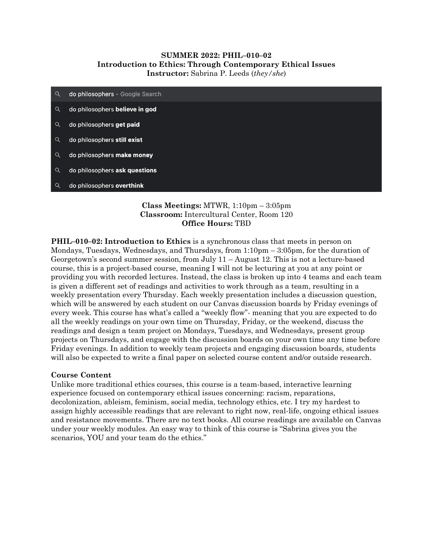## **SUMMER 2022: PHIL–010–02 Introduction to Ethics: Through Contemporary Ethical Issues Instructor:** Sabrina P. Leeds (*they/she*)

| $\alpha$ | do philosophers - Google Search |
|----------|---------------------------------|
| Q        | do philosophers believe in god  |
| Q        | do philosophers get paid        |
| Q        | do philosophers still exist     |
| Q        | do philosophers make money      |
| Q        | do philosophers ask questions   |
| Q        | do philosophers overthink       |

## **Class Meetings:** MTWR, 1:10pm – 3:05pm **Classroom:** Intercultural Center, Room 120 **Office Hours:** TBD

**PHIL–010–02: Introduction to Ethics** is a synchronous class that meets in person on Mondays, Tuesdays, Wednesdays, and Thursdays, from 1:10pm – 3:05pm, for the duration of Georgetown's second summer session, from July 11 – August 12. This is not a lecture-based course, this is a project-based course, meaning I will not be lecturing at you at any point or providing you with recorded lectures. Instead, the class is broken up into 4 teams and each team is given a different set of readings and activities to work through as a team, resulting in a weekly presentation every Thursday. Each weekly presentation includes a discussion question, which will be answered by each student on our Canvas discussion boards by Friday evenings of every week. This course has what's called a "weekly flow"- meaning that you are expected to do all the weekly readings on your own time on Thursday, Friday, or the weekend, discuss the readings and design a team project on Mondays, Tuesdays, and Wednesdays, present group projects on Thursdays, and engage with the discussion boards on your own time any time before Friday evenings. In addition to weekly team projects and engaging discussion boards, students will also be expected to write a final paper on selected course content and/or outside research.

## **Course Content**

Unlike more traditional ethics courses, this course is a team-based, interactive learning experience focused on contemporary ethical issues concerning: racism, reparations, decolonization, ableism, feminism, social media, technology ethics, etc. I try my hardest to assign highly accessible readings that are relevant to right now, real-life, ongoing ethical issues and resistance movements. There are no text books. All course readings are available on Canvas under your weekly modules. An easy way to think of this course is "Sabrina gives you the scenarios, YOU and your team do the ethics."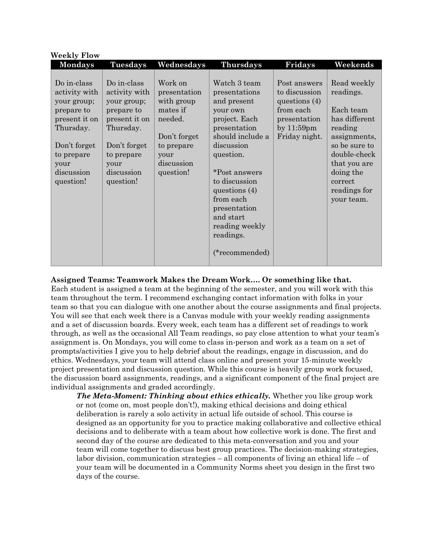| <b>Weekly Flow</b>                                                                                                                                       |                                                                                                                                                          |                                                                                                                               |                                                                                                                                                                                                                                                                                          |                                                                                                                 |                                                                                                                                                                                          |  |  |
|----------------------------------------------------------------------------------------------------------------------------------------------------------|----------------------------------------------------------------------------------------------------------------------------------------------------------|-------------------------------------------------------------------------------------------------------------------------------|------------------------------------------------------------------------------------------------------------------------------------------------------------------------------------------------------------------------------------------------------------------------------------------|-----------------------------------------------------------------------------------------------------------------|------------------------------------------------------------------------------------------------------------------------------------------------------------------------------------------|--|--|
| <b>Mondays</b>                                                                                                                                           | <b>Tuesdays</b>                                                                                                                                          | Wednesdays                                                                                                                    | <b>Thursdays</b>                                                                                                                                                                                                                                                                         | Fridays                                                                                                         | Weekends                                                                                                                                                                                 |  |  |
| Do in-class<br>activity with<br>your group;<br>prepare to<br>present it on<br>Thursday.<br>Don't forget<br>to prepare<br>your<br>discussion<br>question! | Do in-class<br>activity with<br>your group;<br>prepare to<br>present it on<br>Thursday.<br>Don't forget<br>to prepare<br>your<br>discussion<br>question! | Work on<br>presentation<br>with group<br>mates if<br>needed.<br>Don't forget<br>to prepare<br>your<br>discussion<br>question! | Watch 3 team<br>presentations<br>and present<br>your own<br>project. Each<br>presentation<br>should include a<br>discussion<br>question.<br>*Post answers<br>to discussion<br>questions $(4)$<br>from each<br>presentation<br>and start<br>reading weekly<br>readings.<br>(*recommended) | Post answers<br>to discussion<br>questions $(4)$<br>from each<br>presentation<br>by $11:59$ pm<br>Friday night. | Read weekly<br>readings.<br>Each team<br>has different<br>reading<br>assignments,<br>so be sure to<br>double-check<br>that you are<br>doing the<br>correct<br>readings for<br>your team. |  |  |

## **Assigned Teams: Teamwork Makes the Dream Work…. Or something like that.**

Each student is assigned a team at the beginning of the semester, and you will work with this team throughout the term. I recommend exchanging contact information with folks in your team so that you can dialogue with one another about the course assignments and final projects. You will see that each week there is a Canvas module with your weekly reading assignments and a set of discussion boards. Every week, each team has a different set of readings to work through, as well as the occasional All Team readings, so pay close attention to what your team's assignment is. On Mondays, you will come to class in-person and work as a team on a set of prompts/activities I give you to help debrief about the readings, engage in discussion, and do ethics. Wednesdays, your team will attend class online and present your 15-minute weekly project presentation and discussion question. While this course is heavily group work focused, the discussion board assignments, readings, and a significant component of the final project are individual assignments and graded accordingly.

*The Meta-Moment: Thinking about ethics ethically.* Whether you like group work or not (come on, most people don't!), making ethical decisions and doing ethical deliberation is rarely a solo activity in actual life outside of school. This course is designed as an opportunity for you to practice making collaborative and collective ethical decisions and to deliberate with a team about how collective work is done. The first and second day of the course are dedicated to this meta-conversation and you and your team will come together to discuss best group practices. The decision-making strategies, labor division, communication strategies  $-$  all components of living an ethical life  $-$  of your team will be documented in a Community Norms sheet you design in the first two days of the course.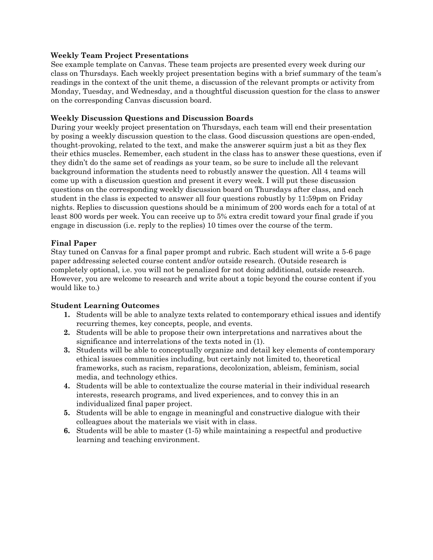## **Weekly Team Project Presentations**

See example template on Canvas. These team projects are presented every week during our class on Thursdays. Each weekly project presentation begins with a brief summary of the team's readings in the context of the unit theme, a discussion of the relevant prompts or activity from Monday, Tuesday, and Wednesday, and a thoughtful discussion question for the class to answer on the corresponding Canvas discussion board.

## **Weekly Discussion Questions and Discussion Boards**

During your weekly project presentation on Thursdays, each team will end their presentation by posing a weekly discussion question to the class. Good discussion questions are open-ended, thought-provoking, related to the text, and make the answerer squirm just a bit as they flex their ethics muscles. Remember, each student in the class has to answer these questions, even if they didn't do the same set of readings as your team, so be sure to include all the relevant background information the students need to robustly answer the question. All 4 teams will come up with a discussion question and present it every week. I will put these discussion questions on the corresponding weekly discussion board on Thursdays after class, and each student in the class is expected to answer all four questions robustly by 11:59pm on Friday nights. Replies to discussion questions should be a minimum of 200 words each for a total of at least 800 words per week. You can receive up to 5% extra credit toward your final grade if you engage in discussion (i.e. reply to the replies) 10 times over the course of the term.

# **Final Paper**

Stay tuned on Canvas for a final paper prompt and rubric. Each student will write a 5-6 page paper addressing selected course content and/or outside research. (Outside research is completely optional, i.e. you will not be penalized for not doing additional, outside research. However, you are welcome to research and write about a topic beyond the course content if you would like to.)

# **Student Learning Outcomes**

- **1.** Students will be able to analyze texts related to contemporary ethical issues and identify recurring themes, key concepts, people, and events.
- **2.** Students will be able to propose their own interpretations and narratives about the significance and interrelations of the texts noted in (1).
- **3.** Students will be able to conceptually organize and detail key elements of contemporary ethical issues communities including, but certainly not limited to, theoretical frameworks, such as racism, reparations, decolonization, ableism, feminism, social media, and technology ethics.
- **4.** Students will be able to contextualize the course material in their individual research interests, research programs, and lived experiences, and to convey this in an individualized final paper project.
- **5.** Students will be able to engage in meaningful and constructive dialogue with their colleagues about the materials we visit with in class.
- **6.** Students will be able to master (1-5) while maintaining a respectful and productive learning and teaching environment.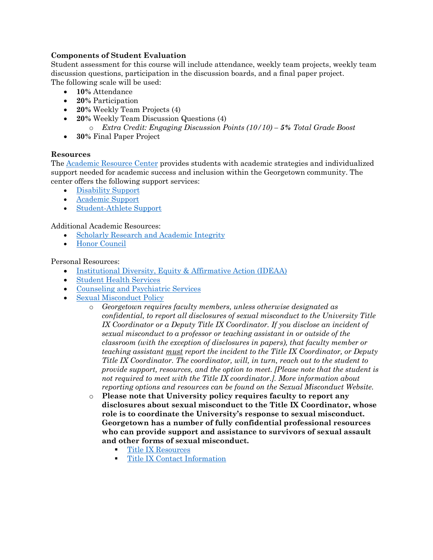## **Components of Student Evaluation**

Student assessment for this course will include attendance, weekly team projects, weekly team discussion questions, participation in the discussion boards, and a final paper project. The following scale will be used:

- **10%** Attendance
- **20%** Participation
- **20%** Weekly Team Projects (4)
- **20%** Weekly Team Discussion Questions (4)
	- o *Extra Credit: Engaging Discussion Points (10/10) – 5% Total Grade Boost*
- **30%** Final Paper Project

## **Resources**

The [Academic Resource Center](https://academicsupport.georgetown.edu/) provides students with academic strategies and individualized support needed for academic success and inclusion within the Georgetown community. The center offers the following support services:

- [Disability Support](https://academicsupport.georgetown.edu/disability/)
- [Academic Support](https://academicsupport.georgetown.edu/academic-support/)
- [Student-Athlete Support](https://academicsupport.georgetown.edu/athlete/)

Additional Academic Resources:

- [Scholarly Research and Academic Integrity](https://georgetown.instructure.com/courses/21761)
- [Honor Council](https://honorcouncil.georgetown.edu/)

## Personal Resources:

- [Institutional Diversity, Equity & Affirmative Action \(IDEAA\)](https://ideaa.georgetown.edu/)
- [Student Health Services](https://studenthealth.georgetown.edu/)
- [Counseling and Psychiatric Services](https://studenthealth.georgetown.edu/mental-health/)
- [Sexual Misconduct Policy](https://sexualassault.georgetown.edu/)
	- o *Georgetown requires faculty members, unless otherwise designated as confidential, to report all disclosures of sexual misconduct to the University Title IX Coordinator or a Deputy Title IX Coordinator. If you disclose an incident of sexual misconduct to a professor or teaching assistant in or outside of the classroom (with the exception of disclosures in papers), that faculty member or teaching assistant must report the incident to the Title IX Coordinator, or Deputy Title IX Coordinator. The coordinator, will, in turn, reach out to the student to provide support, resources, and the option to meet. [Please note that the student is not required to meet with the Title IX coordinator.]. More information about reporting options and resources can be found on the Sexual Misconduct Website.*
	- o **Please note that University policy requires faculty to report any disclosures about sexual misconduct to the Title IX Coordinator, whose role is to coordinate the University's response to sexual misconduct. Georgetown has a number of fully confidential professional resources who can provide support and assistance to survivors of sexual assault and other forms of sexual misconduct.** 
		- [Title IX Resources](https://georgetown.app.box.com/s/0709ma4k7izp95bhvcm31dd7m6vfs00p)
		- **[Title IX Contact Information](https://titleix.georgetown.edu/title-ix-contacts/#_ga=2.38354080.2073986455.1642039750-1141316726.1628554500)**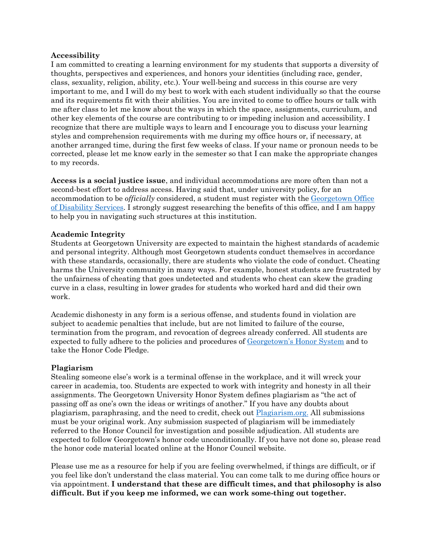## **Accessibility**

I am committed to creating a learning environment for my students that supports a diversity of thoughts, perspectives and experiences, and honors your identities (including race, gender, class, sexuality, religion, ability, etc.). Your well-being and success in this course are very important to me, and I will do my best to work with each student individually so that the course and its requirements fit with their abilities. You are invited to come to office hours or talk with me after class to let me know about the ways in which the space, assignments, curriculum, and other key elements of the course are contributing to or impeding inclusion and accessibility. I recognize that there are multiple ways to learn and I encourage you to discuss your learning styles and comprehension requirements with me during my office hours or, if necessary, at another arranged time, during the first few weeks of class. If your name or pronoun needs to be corrected, please let me know early in the semester so that I can make the appropriate changes to my records.

**Access is a social justice issue**, and individual accommodations are more often than not a second-best effort to address access. Having said that, under university policy, for an accommodation to be *officially* considered, a student must register with the [Georgetown Office](https://academicsupport.georgetown.edu/disability/)  [of Disability Services.](https://academicsupport.georgetown.edu/disability/) I strongly suggest researching the benefits of this office, and I am happy to help you in navigating such structures at this institution.

#### **Academic Integrity**

Students at Georgetown University are expected to maintain the highest standards of academic and personal integrity. Although most Georgetown students conduct themselves in accordance with these standards, occasionally, there are students who violate the code of conduct. Cheating harms the University community in many ways. For example, honest students are frustrated by the unfairness of cheating that goes undetected and students who cheat can skew the grading curve in a class, resulting in lower grades for students who worked hard and did their own work.

Academic dishonesty in any form is a serious offense, and students found in violation are subject to academic penalties that include, but are not limited to failure of the course, termination from the program, and revocation of degrees already conferred. All students are expected to fully adhere to the policies and procedures of [Georgetown's Honor System](https://honorcouncil.georgetown.edu/system/policies/) and to take the Honor Code Pledge.

## **Plagiarism**

Stealing someone else's work is a terminal offense in the workplace, and it will wreck your career in academia, too. Students are expected to work with integrity and honesty in all their assignments. The Georgetown University Honor System defines plagiarism as "the act of passing off as one's own the ideas or writings of another." If you have any doubts about plagiarism, paraphrasing, and the need to credit, check out [Plagiarism.org.](https://plagiarism.org/) All submissions must be your original work. Any submission suspected of plagiarism will be immediately referred to the Honor Council for investigation and possible adjudication. All students are expected to follow Georgetown's honor code unconditionally. If you have not done so, please read the honor code material located online at the Honor Council website.

Please use me as a resource for help if you are feeling overwhelmed, if things are difficult, or if you feel like don't understand the class material. You can come talk to me during office hours or via appointment. **I understand that these are difficult times, and that philosophy is also difficult. But if you keep me informed, we can work some-thing out together.**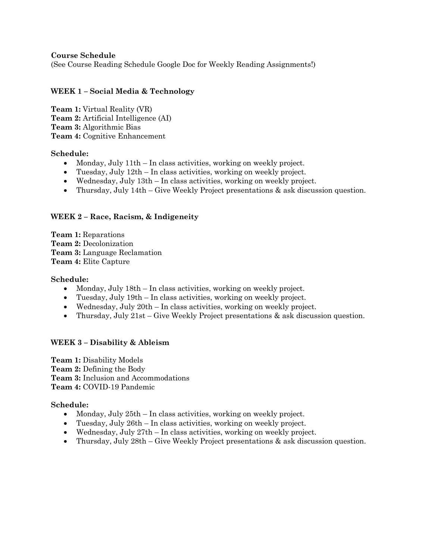### **Course Schedule**

(See Course Reading Schedule Google Doc for Weekly Reading Assignments!)

## **WEEK 1 – Social Media & Technology**

**Team 1:** Virtual Reality (VR) **Team 2:** Artificial Intelligence (AI) **Team 3:** Algorithmic Bias **Team 4:** Cognitive Enhancement

#### **Schedule:**

- Monday, July 11th In class activities, working on weekly project.
- Tuesday, July 12th In class activities, working on weekly project.
- Wednesday, July 13th In class activities, working on weekly project.
- Thursday, July 14th Give Weekly Project presentations & ask discussion question.

## **WEEK 2 – Race, Racism, & Indigeneity**

**Team 1:** Reparations **Team 2:** Decolonization **Team 3:** Language Reclamation **Team 4:** Elite Capture

#### **Schedule:**

- Monday, July 18th In class activities, working on weekly project.
- Tuesday, July 19th In class activities, working on weekly project.
- Wednesday, July 20th In class activities, working on weekly project.
- Thursday, July 21st Give Weekly Project presentations & ask discussion question.

## **WEEK 3 – Disability & Ableism**

**Team 1:** Disability Models **Team 2:** Defining the Body **Team 3:** Inclusion and Accommodations **Team 4:** COVID-19 Pandemic

#### **Schedule:**

- Monday, July 25th In class activities, working on weekly project.
- Tuesday, July 26th In class activities, working on weekly project.
- Wednesday, July 27th In class activities, working on weekly project.
- Thursday, July 28th Give Weekly Project presentations & ask discussion question.